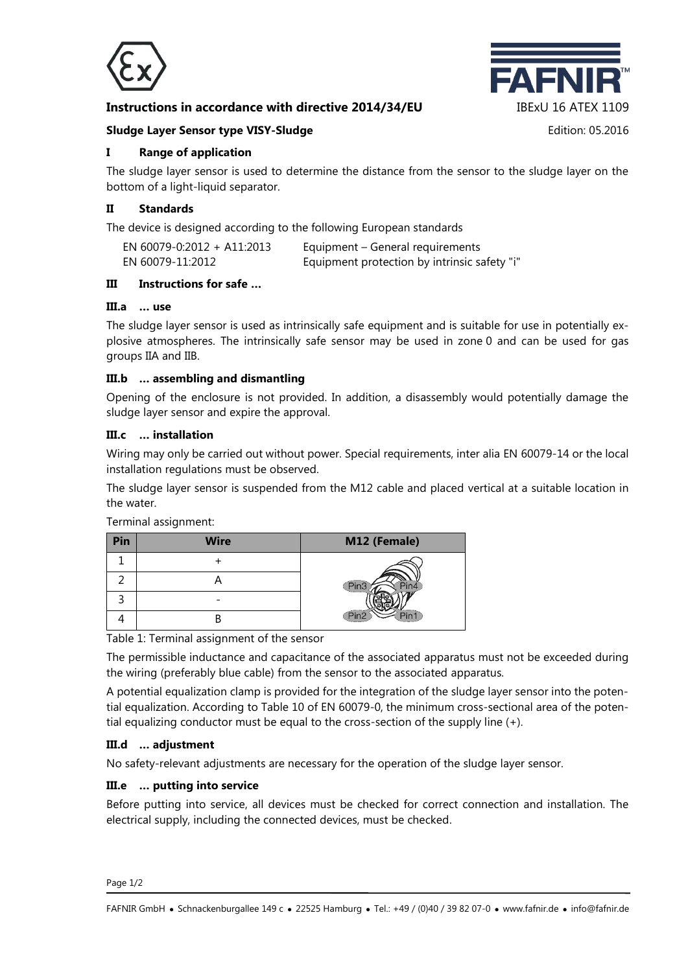

## **Instructions in accordance with directive 2014/34/EU** IBExU 16 ATEX 1109



#### **Sludge Layer Sensor type VISY-Sludge Edition: 05.2016** Edition: 05.2016

### **I Range of application**

The sludge layer sensor is used to determine the distance from the sensor to the sludge layer on the bottom of a light-liquid separator.

#### **II Standards**

The device is designed according to the following European standards

| EN 60079-0:2012 + A11:2013 | Equipment – General requirements             |
|----------------------------|----------------------------------------------|
| EN 60079-11:2012           | Equipment protection by intrinsic safety "i" |

### **III Instructions for safe …**

#### **III.a … use**

The sludge layer sensor is used as intrinsically safe equipment and is suitable for use in potentially explosive atmospheres. The intrinsically safe sensor may be used in zone 0 and can be used for gas groups IIA and IIB.

## **III.b … assembling and dismantling**

Opening of the enclosure is not provided. In addition, a disassembly would potentially damage the sludge layer sensor and expire the approval.

#### **III.c … installation**

Wiring may only be carried out without power. Special requirements, inter alia EN 60079-14 or the local installation regulations must be observed.

The sludge layer sensor is suspended from the M12 cable and placed vertical at a suitable location in the water.

Terminal assignment:

| Pin | <b>Wire</b> | M12 (Female) |
|-----|-------------|--------------|
|     |             |              |
|     |             |              |
|     |             |              |
|     |             |              |

Table 1: Terminal assignment of the sensor

The permissible inductance and capacitance of the associated apparatus must not be exceeded during the wiring (preferably blue cable) from the sensor to the associated apparatus.

A potential equalization clamp is provided for the integration of the sludge layer sensor into the potential equalization. According to Table 10 of EN 60079-0, the minimum cross-sectional area of the potential equalizing conductor must be equal to the cross-section of the supply line (+).

#### **III.d … adjustment**

No safety-relevant adjustments are necessary for the operation of the sludge layer sensor.

#### **III.e … putting into service**

Before putting into service, all devices must be checked for correct connection and installation. The electrical supply, including the connected devices, must be checked.